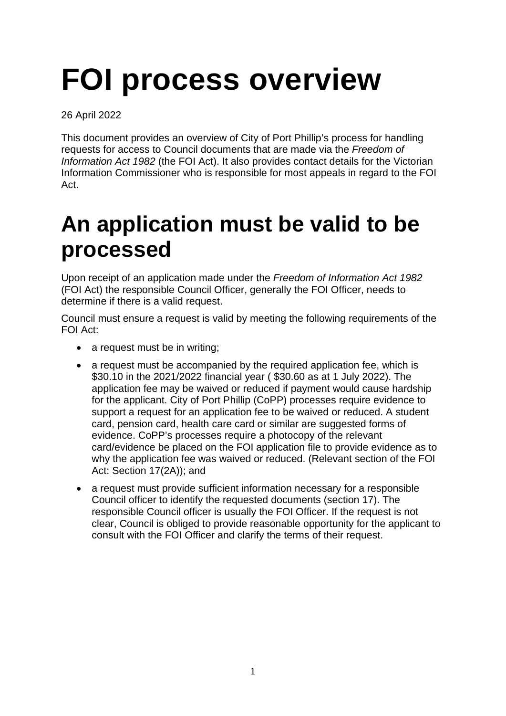# **FOI process overview**

26 April 2022

This document provides an overview of City of Port Phillip's process for handling requests for access to Council documents that are made via the *Freedom of Information Act 1982* (the FOI Act). It also provides contact details for the Victorian Information Commissioner who is responsible for most appeals in regard to the FOI Act.

## **An application must be valid to be processed**

Upon receipt of an application made under the *Freedom of Information Act 1982* (FOI Act) the responsible Council Officer, generally the FOI Officer, needs to determine if there is a valid request.

Council must ensure a request is valid by meeting the following requirements of the FOI Act:

- a request must be in writing;
- a request must be accompanied by the required application fee, which is \$30.10 in the 2021/2022 financial year ( \$30.60 as at 1 July 2022). The application fee may be waived or reduced if payment would cause hardship for the applicant. City of Port Phillip (CoPP) processes require evidence to support a request for an application fee to be waived or reduced. A student card, pension card, health care card or similar are suggested forms of evidence. CoPP's processes require a photocopy of the relevant card/evidence be placed on the FOI application file to provide evidence as to why the application fee was waived or reduced. (Relevant section of the FOI Act: Section 17(2A)); and
- a request must provide sufficient information necessary for a responsible Council officer to identify the requested documents (section 17). The responsible Council officer is usually the FOI Officer. If the request is not clear, Council is obliged to provide reasonable opportunity for the applicant to consult with the FOI Officer and clarify the terms of their request.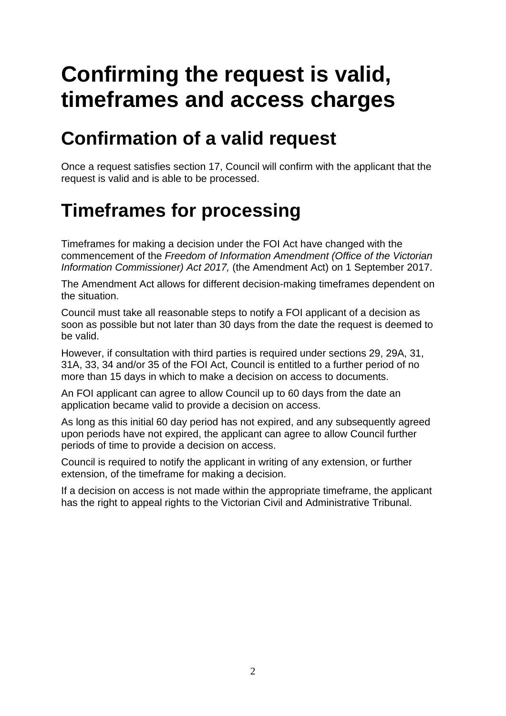# **Confirming the request is valid, timeframes and access charges**

#### **Confirmation of a valid request**

Once a request satisfies section 17, Council will confirm with the applicant that the request is valid and is able to be processed.

#### **Timeframes for processing**

Timeframes for making a decision under the FOI Act have changed with the commencement of the *Freedom of Information Amendment (Office of the Victorian Information Commissioner) Act 2017,* (the Amendment Act) on 1 September 2017.

The Amendment Act allows for different decision-making timeframes dependent on the situation.

Council must take all reasonable steps to notify a FOI applicant of a decision as soon as possible but not later than 30 days from the date the request is deemed to be valid.

However, if consultation with third parties is required under sections 29, 29A, 31, 31A, 33, 34 and/or 35 of the FOI Act, Council is entitled to a further period of no more than 15 days in which to make a decision on access to documents.

An FOI applicant can agree to allow Council up to 60 days from the date an application became valid to provide a decision on access.

As long as this initial 60 day period has not expired, and any subsequently agreed upon periods have not expired, the applicant can agree to allow Council further periods of time to provide a decision on access.

Council is required to notify the applicant in writing of any extension, or further extension, of the timeframe for making a decision.

If a decision on access is not made within the appropriate timeframe, the applicant has the right to appeal rights to the Victorian Civil and Administrative Tribunal.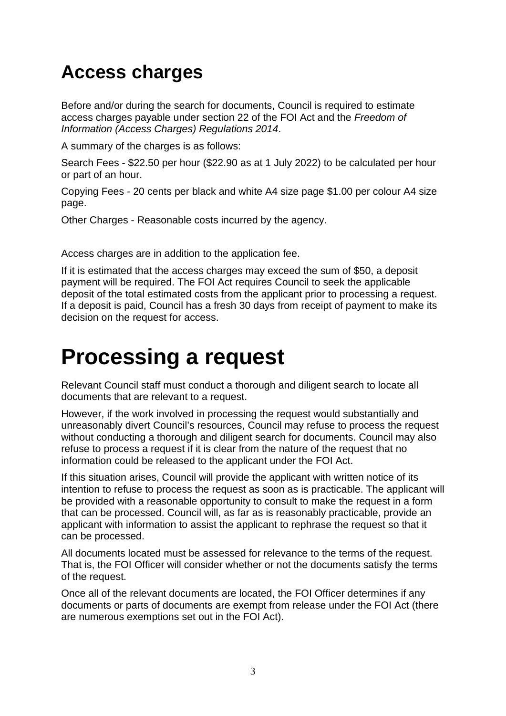#### **Access charges**

Before and/or during the search for documents, Council is required to estimate access charges payable under section 22 of the FOI Act and the *Freedom of Information (Access Charges) Regulations 2014*.

A summary of the charges is as follows:

Search Fees - \$22.50 per hour (\$22.90 as at 1 July 2022) to be calculated per hour or part of an hour.

Copying Fees - 20 cents per black and white A4 size page \$1.00 per colour A4 size page.

Other Charges - Reasonable costs incurred by the agency.

Access charges are in addition to the application fee.

If it is estimated that the access charges may exceed the sum of \$50, a deposit payment will be required. The FOI Act requires Council to seek the applicable deposit of the total estimated costs from the applicant prior to processing a request. If a deposit is paid, Council has a fresh 30 days from receipt of payment to make its decision on the request for access.

## **Processing a request**

Relevant Council staff must conduct a thorough and diligent search to locate all documents that are relevant to a request.

However, if the work involved in processing the request would substantially and unreasonably divert Council's resources, Council may refuse to process the request without conducting a thorough and diligent search for documents. Council may also refuse to process a request if it is clear from the nature of the request that no information could be released to the applicant under the FOI Act.

If this situation arises, Council will provide the applicant with written notice of its intention to refuse to process the request as soon as is practicable. The applicant will be provided with a reasonable opportunity to consult to make the request in a form that can be processed. Council will, as far as is reasonably practicable, provide an applicant with information to assist the applicant to rephrase the request so that it can be processed.

All documents located must be assessed for relevance to the terms of the request. That is, the FOI Officer will consider whether or not the documents satisfy the terms of the request.

Once all of the relevant documents are located, the FOI Officer determines if any documents or parts of documents are exempt from release under the FOI Act (there are numerous exemptions set out in the FOI Act).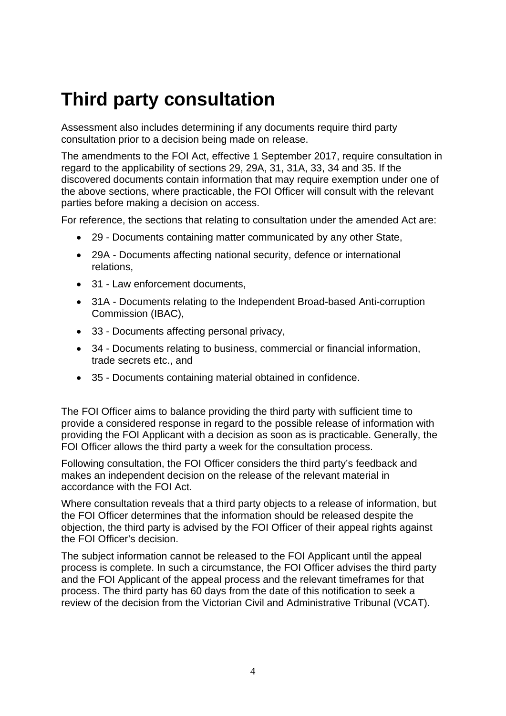#### **Third party consultation**

Assessment also includes determining if any documents require third party consultation prior to a decision being made on release.

The amendments to the FOI Act, effective 1 September 2017, require consultation in regard to the applicability of sections 29, 29A, 31, 31A, 33, 34 and 35. If the discovered documents contain information that may require exemption under one of the above sections, where practicable, the FOI Officer will consult with the relevant parties before making a decision on access.

For reference, the sections that relating to consultation under the amended Act are:

- 29 Documents containing matter communicated by any other State,
- 29A Documents affecting national security, defence or international relations,
- 31 Law enforcement documents.
- 31A Documents relating to the Independent Broad-based Anti-corruption Commission (IBAC),
- 33 Documents affecting personal privacy,
- 34 Documents relating to business, commercial or financial information, trade secrets etc., and
- 35 Documents containing material obtained in confidence.

The FOI Officer aims to balance providing the third party with sufficient time to provide a considered response in regard to the possible release of information with providing the FOI Applicant with a decision as soon as is practicable. Generally, the FOI Officer allows the third party a week for the consultation process.

Following consultation, the FOI Officer considers the third party's feedback and makes an independent decision on the release of the relevant material in accordance with the FOI Act.

Where consultation reveals that a third party objects to a release of information, but the FOI Officer determines that the information should be released despite the objection, the third party is advised by the FOI Officer of their appeal rights against the FOI Officer's decision.

The subject information cannot be released to the FOI Applicant until the appeal process is complete. In such a circumstance, the FOI Officer advises the third party and the FOI Applicant of the appeal process and the relevant timeframes for that process. The third party has 60 days from the date of this notification to seek a review of the decision from the Victorian Civil and Administrative Tribunal (VCAT).